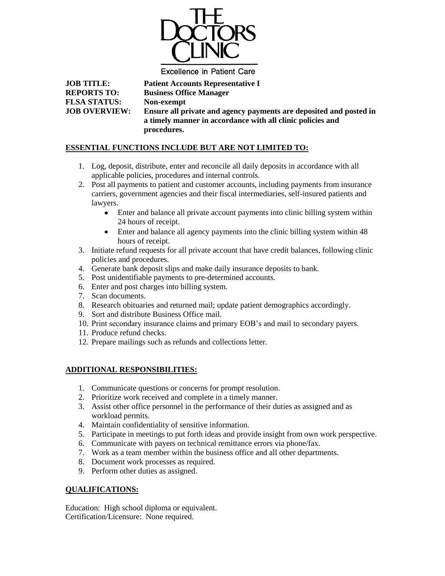

**Excellence in Patient Care** 

**JOB TITLE: Patient Accounts Representative I REPORTS TO: Business Office Manager FLSA STATUS: Non-exempt JOB OVERVIEW: Ensure all private and agency payments are deposited and posted in a timely manner in accordance with all clinic policies and** 

## **ESSENTIAL FUNCTIONS INCLUDE BUT ARE NOT LIMITED TO:**

**procedures.**

- 1. Log, deposit, distribute, enter and reconcile all daily deposits in accordance with all applicable policies, procedures and internal controls.
- 2. Post all payments to patient and customer accounts, including payments from insurance carriers, government agencies and their fiscal intermediaries, self-insured patients and lawyers.
	- Enter and balance all private account payments into clinic billing system within 24 hours of receipt.
	- Enter and balance all agency payments into the clinic billing system within 48 hours of receipt.
- 3. Initiate refund requests for all private account that have credit balances, following clinic policies and procedures.
- 4. Generate bank deposit slips and make daily insurance deposits to bank.
- 5. Post unidentifiable payments to pre-determined accounts.
- 6. Enter and post charges into billing system.
- 7. Scan documents.
- 8. Research obituaries and returned mail; update patient demographics accordingly.
- 9. Sort and distribute Business Office mail.
- 10. Print secondary insurance claims and primary EOB's and mail to secondary payers.
- 11. Produce refund checks.
- 12. Prepare mailings such as refunds and collections letter.

## **ADDITIONAL RESPONSIBILITIES:**

- 1. Communicate questions or concerns for prompt resolution.
- 2. Prioritize work received and complete in a timely manner.
- 3. Assist other office personnel in the performance of their duties as assigned and as workload permits.
- 4. Maintain confidentiality of sensitive information.
- 5. Participate in meetings to put forth ideas and provide insight from own work perspective.
- 6. Communicate with payers on technical remittance errors via phone/fax.
- 7. Work as a team member within the business office and all other departments.
- 8. Document work processes as required.
- 9. Perform other duties as assigned.

## **QUALIFICATIONS:**

Education: High school diploma or equivalent. Certification/Licensure: None required.